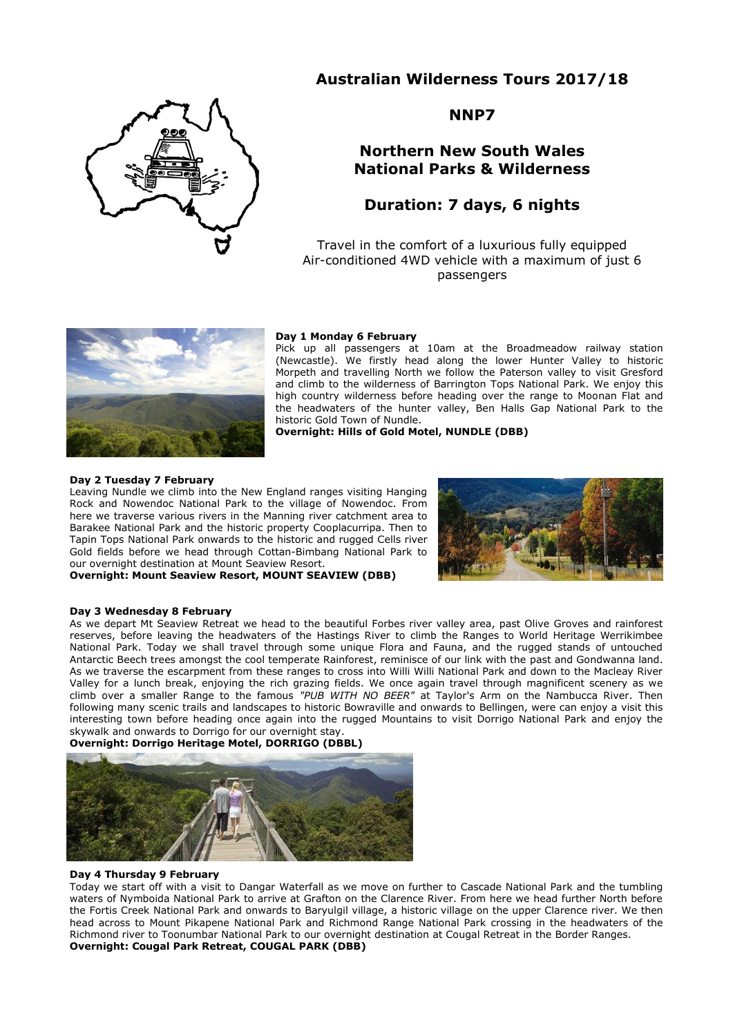# **Australian Wilderness Tours 2017/18**



# **NNP7**

# **Northern New South Wales National Parks & Wilderness**

# **Duration: 7 days, 6 nights**

Travel in the comfort of a luxurious fully equipped Air-conditioned 4WD vehicle with a maximum of just 6 passengers



### **Day 1 Monday 6 February**

Pick up all passengers at 10am at the Broadmeadow railway station (Newcastle). We firstly head along the lower Hunter Valley to historic Morpeth and travelling North we follow the Paterson valley to visit Gresford and climb to the wilderness of Barrington Tops National Park. We enjoy this high country wilderness before heading over the range to Moonan Flat and the headwaters of the hunter valley, Ben Halls Gap National Park to the historic Gold Town of Nundle.

**Overnight: Hills of Gold Motel, NUNDLE (DBB)**

### **Day 2 Tuesday 7 February**

Leaving Nundle we climb into the New England ranges visiting Hanging Rock and Nowendoc National Park to the village of Nowendoc. From here we traverse various rivers in the Manning river catchment area to Barakee National Park and the historic property Cooplacurripa. Then to Tapin Tops National Park onwards to the historic and rugged Cells river Gold fields before we head through Cottan-Bimbang National Park to our overnight destination at Mount Seaview Resort.

**Overnight: Mount Seaview Resort, MOUNT SEAVIEW (DBB)**



#### **Day 3 Wednesday 8 February**

As we depart Mt Seaview Retreat we head to the beautiful Forbes river valley area, past Olive Groves and rainforest reserves, before leaving the headwaters of the Hastings River to climb the Ranges to World Heritage Werrikimbee National Park. Today we shall travel through some unique Flora and Fauna, and the rugged stands of untouched Antarctic Beech trees amongst the cool temperate Rainforest, reminisce of our link with the past and Gondwanna land. As we traverse the escarpment from these ranges to cross into Willi Willi National Park and down to the Macleay River Valley for a lunch break, enjoying the rich grazing fields. We once again travel through magnificent scenery as we climb over a smaller Range to the famous *"PUB WITH NO BEER"* at Taylor's Arm on the Nambucca River. Then following many scenic trails and landscapes to historic Bowraville and onwards to Bellingen, were can enjoy a visit this interesting town before heading once again into the rugged Mountains to visit Dorrigo National Park and enjoy the skywalk and onwards to Dorrigo for our overnight stay.

**Overnight: Dorrigo Heritage Motel, DORRIGO (DBBL)**



## **Day 4 Thursday 9 February**

Today we start off with a visit to Dangar Waterfall as we move on further to Cascade National Park and the tumbling waters of Nymboida National Park to arrive at Grafton on the Clarence River. From here we head further North before the Fortis Creek National Park and onwards to Baryulgil village, a historic village on the upper Clarence river. We then head across to Mount Pikapene National Park and Richmond Range National Park crossing in the headwaters of the Richmond river to Toonumbar National Park to our overnight destination at Cougal Retreat in the Border Ranges. **Overnight: Cougal Park Retreat, COUGAL PARK (DBB)**